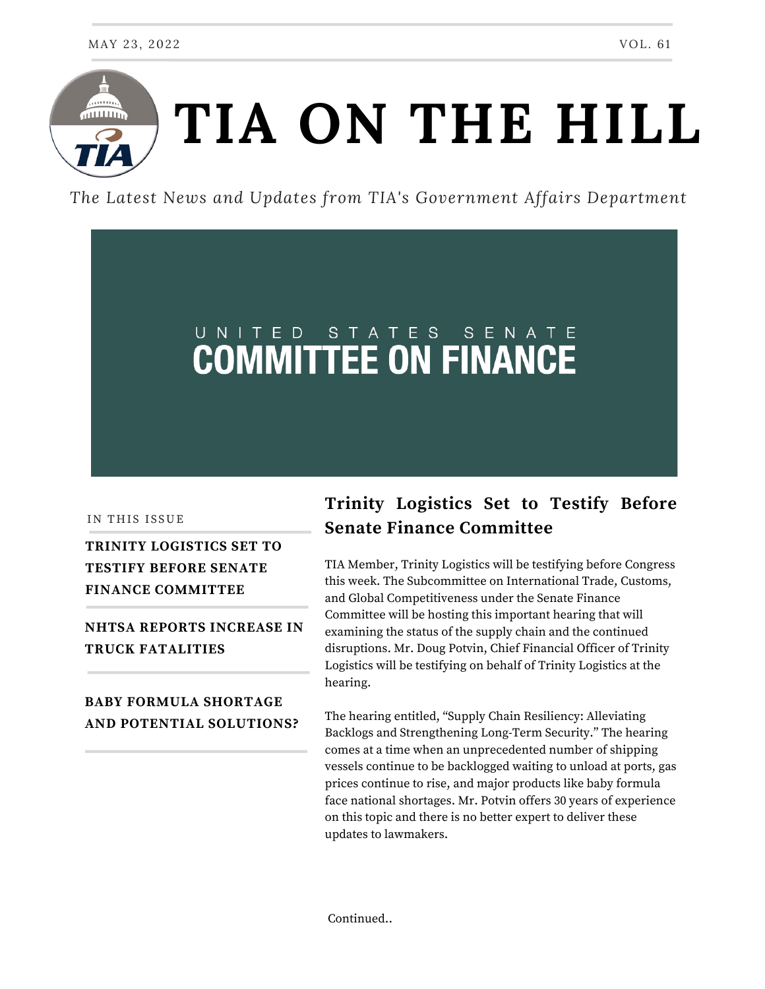

*The Latest News and Updates from TIA's Government Affairs Department*

# UNITED STATES SENATE

IN THIS ISSUE

## **TRINITY LOGISTICS SET TO TESTIFY BEFORE SENATE FINANCE COMMITTEE**

**NHTSA REPORTS INCREASE IN TRUCK FATALITIES**

#### **BABY FORMULA SHORTAGE AND POTENTIAL SOLUTIONS?**

## **Trinity Logistics Set to Testify Before Senate Finance Committee**

TIA Member, Trinity Logistics will be testifying before Congress this week. The Subcommittee on International Trade, Customs, and Global Competitiveness under the Senate Finance Committee will be hosting this important hearing that will examining the status of the supply chain and the continued disruptions. Mr. Doug Potvin, Chief Financial Officer of Trinity Logistics will be testifying on behalf of Trinity Logistics at the hearing.

The hearing entitled, "Supply Chain Resiliency: Alleviating Backlogs and Strengthening Long-Term Security." The hearing comes at a time when an unprecedented number of shipping vessels continue to be backlogged waiting to unload at ports, gas prices continue to rise, and major products like baby formula face national shortages. Mr. Potvin offers 30 years of experience on this topic and there is no better expert to deliver these updates to lawmakers.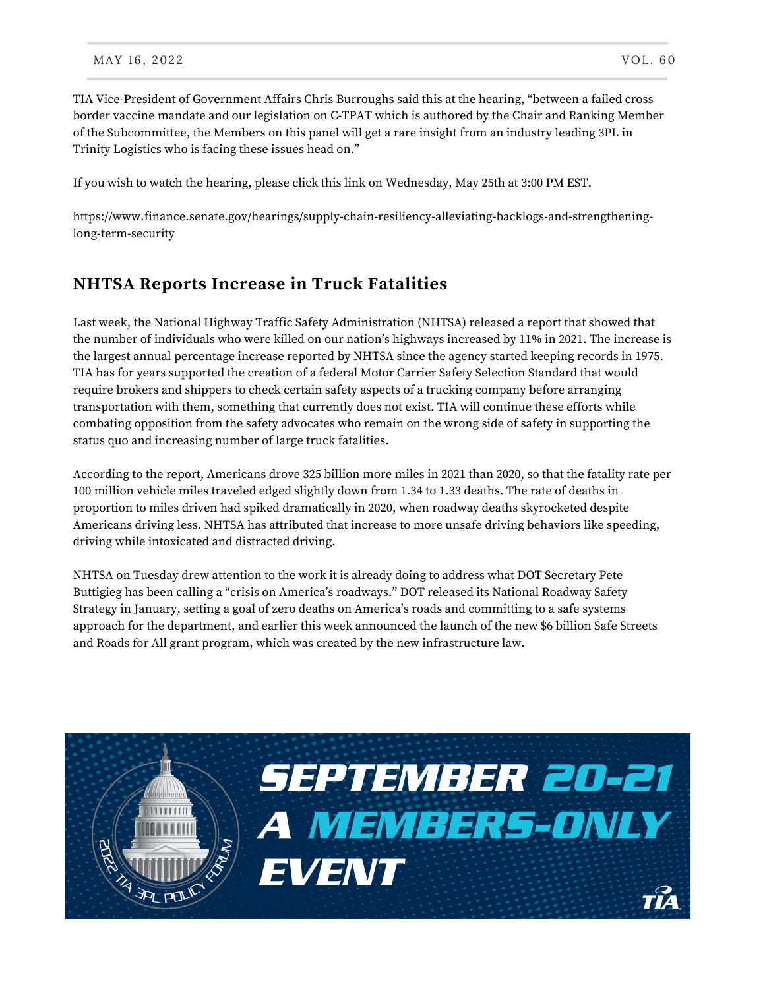TIA Vice-President of Government Affairs Chris Burroughs said this at the hearing, "between a failed cross border vaccine mandate and our legislation on C-TPAT which is authored by the Chair and Ranking Member of the Subcommittee, the Members on this panel will get a rare insight from an industry leading 3PL in Trinity Logistics who is facing these issues head on."

If you wish to watch the hearing, please click this link on Wednesday, May 25th at 3:00 PM EST.

[https://www.finance.senate.gov/hearings/supply-chain-resiliency-alleviating-backlogs-and-strengthening](https://www.finance.senate.gov/hearings/supply-chain-resiliency-alleviating-backlogs-and-strengthening-long-term-security)long-term-security

### **NHTSA Reports Increase in Truck Fatalities**

Last week, the National Highway Traffic Safety Administration (NHTSA) released a report that showed that the number of individuals who were killed on our nation's highways increased by 11% in 2021. The increase is the largest annual percentage increase reported by NHTSA since the agency started keeping records in 1975. TIA has for years supported the creation of a federal Motor Carrier Safety Selection Standard that would require brokers and shippers to check certain safety aspects of a trucking company before arranging transportation with them, something that currently does not exist. TIA will continue these efforts while combating opposition from the safety advocates who remain on the wrong side of safety in supporting the status quo and increasing number of large truck fatalities.

According to the report, Americans drove 325 billion more miles in 2021 than 2020, so that the fatality rate per 100 million vehicle miles traveled edged slightly down from 1.34 to 1.33 deaths. The rate of deaths in proportion to miles driven had spiked dramatically in 2020, when roadway deaths skyrocketed despite Americans driving less. NHTSA has attributed that increase to more unsafe driving behaviors like speeding, driving while intoxicated and distracted driving.

NHTSA on Tuesday drew attention to the work it is already doing to address what DOT Secretary Pete Buttigieg has been calling a "crisis on America's roadways." DOT released its National Roadway Safety Strategy in January, setting a goal of zero deaths on America's roads and committing to a safe systems approach for the department, and earlier this week announced the launch of the new \$6 billion Safe Streets and Roads for All grant program, which was created by the new infrastructure law.